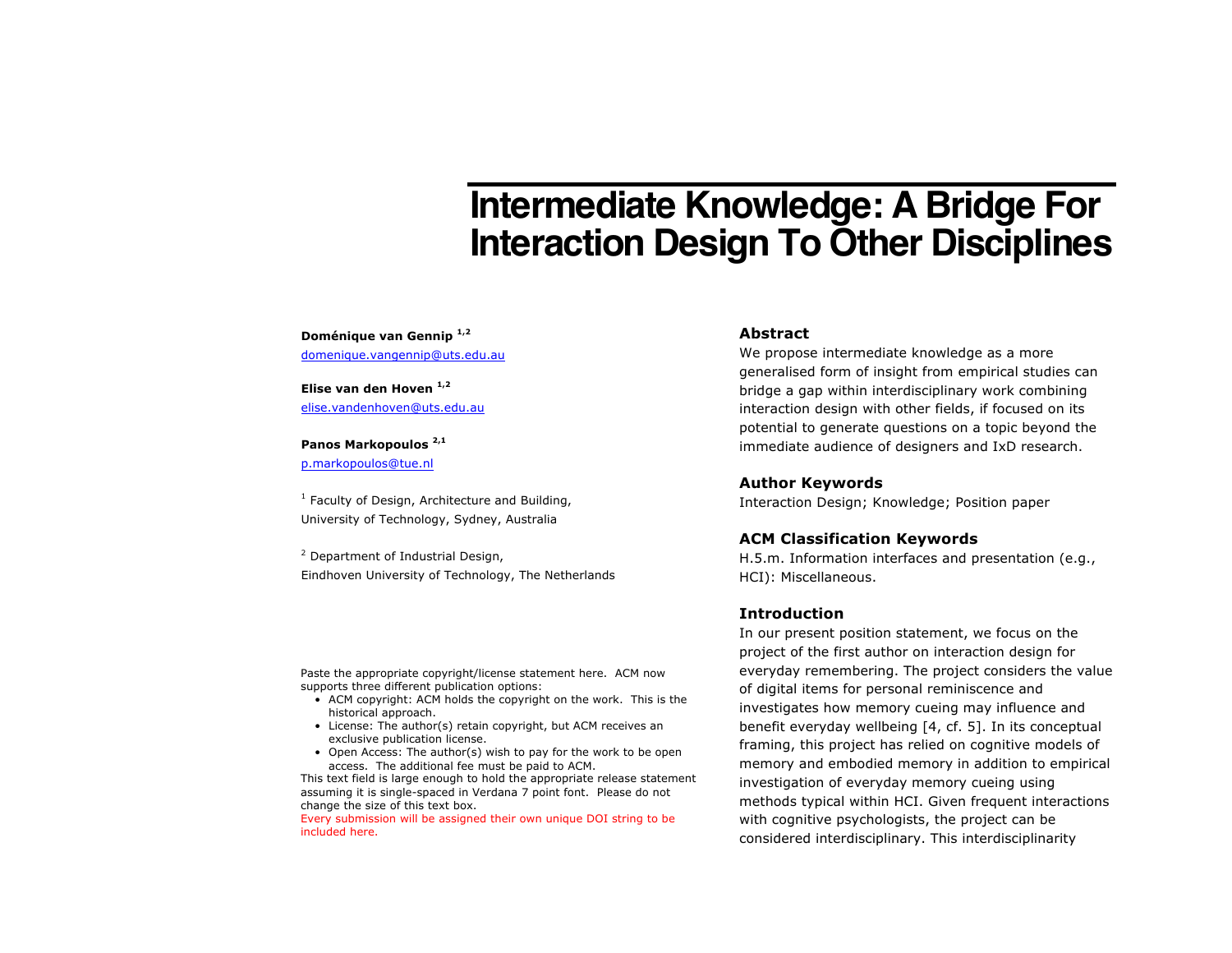# **Intermediate Knowledge: A Bridge For Interaction Design To Other Disciplines**

**Doménique van Gennip 1,2** domenique.vangennip@uts.edu.au

**Elise van den Hoven 1,2** elise.vandenhoven@uts.edu.au

#### **Panos Markopoulos 2,1**

p.markopoulos@tue.nl

 $1$  Faculty of Design, Architecture and Building, University of Technology, Sydney, Australia

<sup>2</sup> Department of Industrial Design, Eindhoven University of Technology, The Netherlands

Paste the appropriate copyright/license statement here. ACM now supports three different publication options:

- ACM copyright: ACM holds the copyright on the work. This is the historical approach.
- License: The author(s) retain copyright, but ACM receives an exclusive publication license.
- Open Access: The author(s) wish to pay for the work to be open access. The additional fee must be paid to ACM.

This text field is large enough to hold the appropriate release statement assuming it is single-spaced in Verdana 7 point font. Please do not change the size of this text box.

Every submission will be assigned their own unique DOI string to be included here.

### **Abstract**

We propose intermediate knowledge as a more generalised form of insight from empirical studies can bridge a gap within interdisciplinary work combining interaction design with other fields, if focused on its potential to generate questions on a topic beyond the immediate audience of designers and IxD research.

#### **Author Keywords**

Interaction Design; Knowledge; Position paper

#### **ACM Classification Keywords**

H.5.m. Information interfaces and presentation (e.g., HCI): Miscellaneous.

#### **Introduction**

In our present position statement, we focus on the project of the first author on interaction design for everyday remembering. The project considers the value of digital items for personal reminiscence and investigates how memory cueing may influence and benefit everyday wellbeing [4, cf. 5]. In its conceptual framing, this project has relied on cognitive models of memory and embodied memory in addition to empirical investigation of everyday memory cueing using methods typical within HCI. Given frequent interactions with cognitive psychologists, the project can be considered interdisciplinary. This interdisciplinarity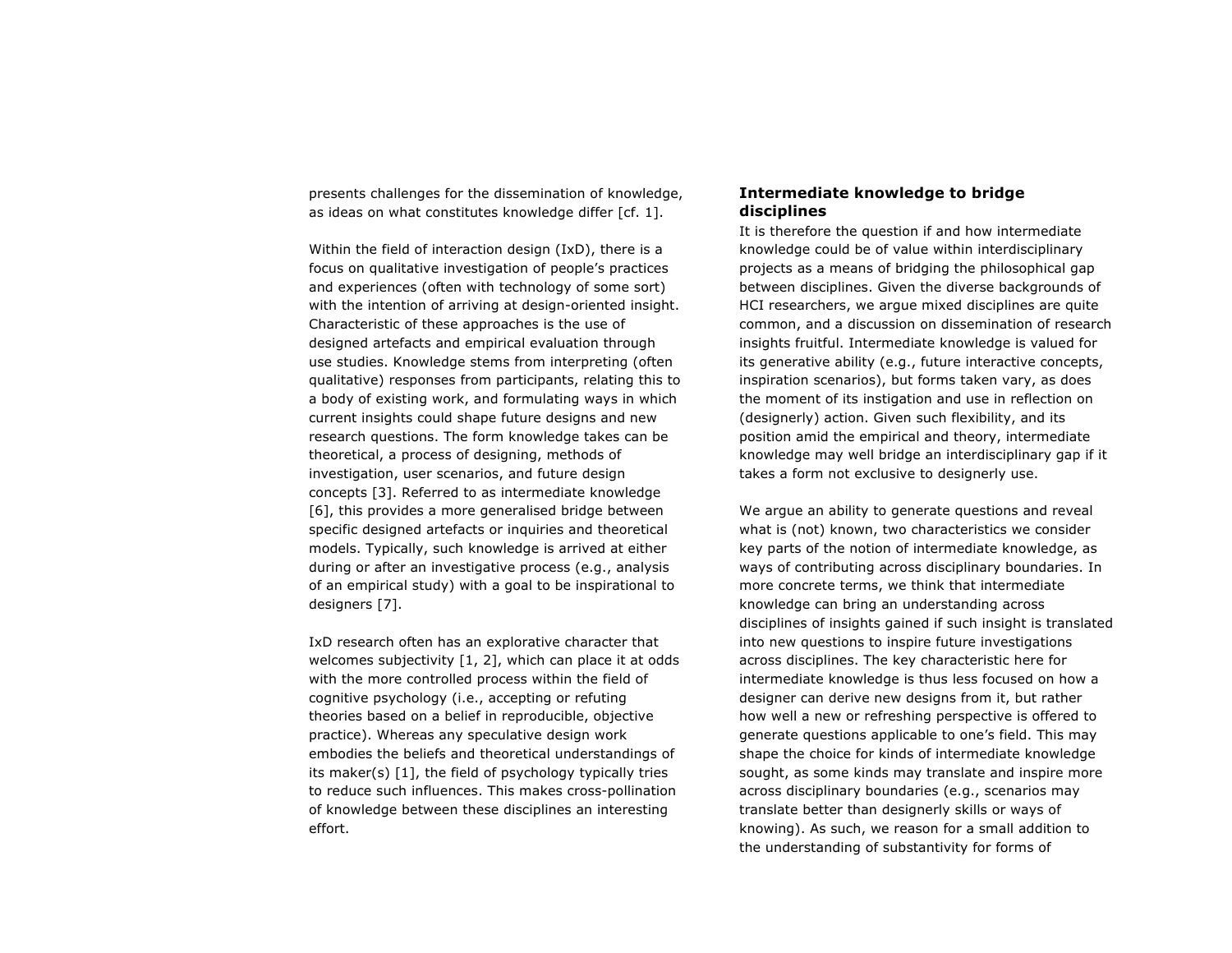presents challenges for the dissemination of knowledge, as ideas on what constitutes knowledge differ [cf. 1].

Within the field of interaction design (IxD), there is a focus on qualitative investigation of people's practices and experiences (often with technology of some sort) with the intention of arriving at design-oriented insight. Characteristic of these approaches is the use of designed artefacts and empirical evaluation through use studies. Knowledge stems from interpreting (often qualitative) responses from participants, relating this to a body of existing work, and formulating ways in which current insights could shape future designs and new research questions. The form knowledge takes can be theoretical, a process of designing, methods of investigation, user scenarios, and future design concepts [3]. Referred to as intermediate knowledge [6], this provides a more generalised bridge between specific designed artefacts or inquiries and theoretical models. Typically, such knowledge is arrived at either during or after an investigative process (e.g., analysis of an empirical study) with a goal to be inspirational to designers [7].

IxD research often has an explorative character that welcomes subjectivity [1, 2], which can place it at odds with the more controlled process within the field of cognitive psychology (i.e., accepting or refuting theories based on a belief in reproducible, objective practice). Whereas any speculative design work embodies the beliefs and theoretical understandings of its maker(s) [1], the field of psychology typically tries to reduce such influences. This makes cross-pollination of knowledge between these disciplines an interesting effort.

## **Intermediate knowledge to bridge disciplines**

It is therefore the question if and how intermediate knowledge could be of value within interdisciplinary projects as a means of bridging the philosophical gap between disciplines. Given the diverse backgrounds of HCI researchers, we argue mixed disciplines are quite common, and a discussion on dissemination of research insights fruitful. Intermediate knowledge is valued for its generative ability (e.g., future interactive concepts, inspiration scenarios), but forms taken vary, as does the moment of its instigation and use in reflection on (designerly) action. Given such flexibility, and its position amid the empirical and theory, intermediate knowledge may well bridge an interdisciplinary gap if it takes a form not exclusive to designerly use.

We argue an ability to generate questions and reveal what is (not) known, two characteristics we consider key parts of the notion of intermediate knowledge, as ways of contributing across disciplinary boundaries. In more concrete terms, we think that intermediate knowledge can bring an understanding across disciplines of insights gained if such insight is translated into new questions to inspire future investigations across disciplines. The key characteristic here for intermediate knowledge is thus less focused on how a designer can derive new designs from it, but rather how well a new or refreshing perspective is offered to generate questions applicable to one's field. This may shape the choice for kinds of intermediate knowledge sought, as some kinds may translate and inspire more across disciplinary boundaries (e.g., scenarios may translate better than designerly skills or ways of knowing). As such, we reason for a small addition to the understanding of substantivity for forms of